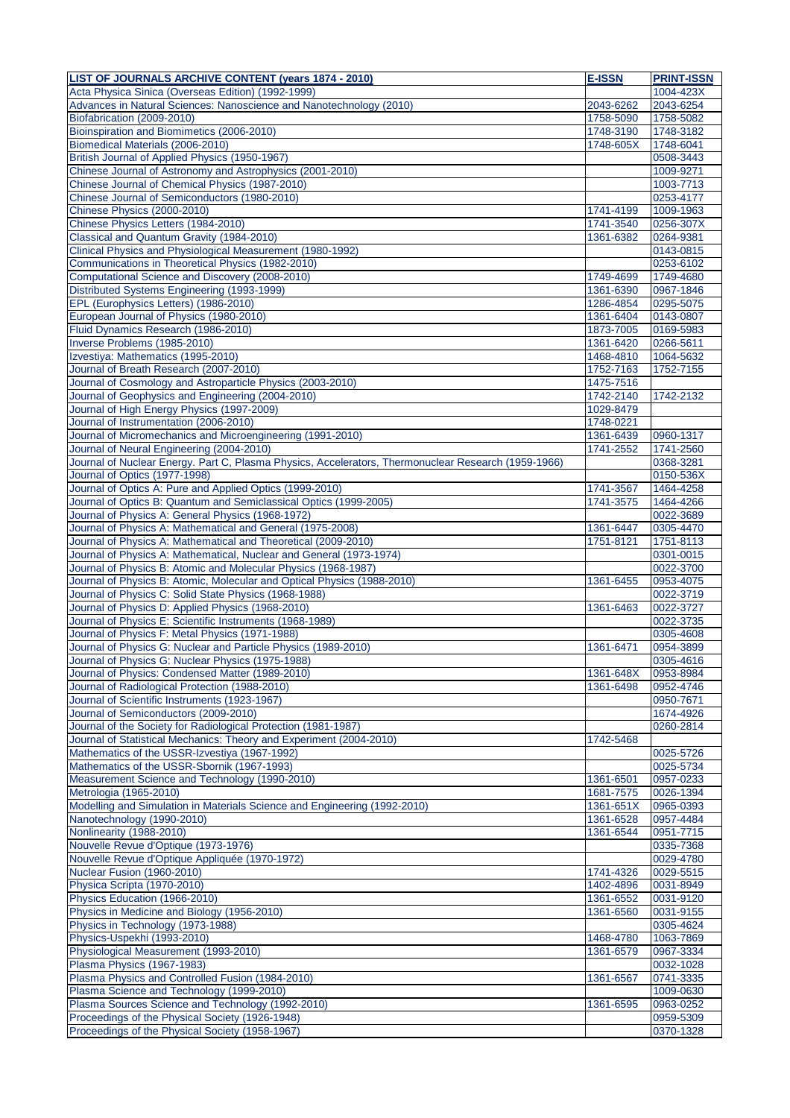| LIST OF JOURNALS ARCHIVE CONTENT (years 1874 - 2010)                                                | <b>E-ISSN</b> | <b>PRINT-ISSN</b> |
|-----------------------------------------------------------------------------------------------------|---------------|-------------------|
| Acta Physica Sinica (Overseas Edition) (1992-1999)                                                  |               | 1004-423X         |
| Advances in Natural Sciences: Nanoscience and Nanotechnology (2010)                                 | 2043-6262     | 2043-6254         |
| Biofabrication (2009-2010)                                                                          | 1758-5090     | 1758-5082         |
| Bioinspiration and Biomimetics (2006-2010)                                                          | 1748-3190     | 1748-3182         |
| Biomedical Materials (2006-2010)                                                                    | 1748-605X     | 1748-6041         |
| British Journal of Applied Physics (1950-1967)                                                      |               | 0508-3443         |
| Chinese Journal of Astronomy and Astrophysics (2001-2010)                                           |               | 1009-9271         |
| Chinese Journal of Chemical Physics (1987-2010)                                                     |               | 1003-7713         |
| Chinese Journal of Semiconductors (1980-2010)                                                       |               | 0253-4177         |
| Chinese Physics (2000-2010)                                                                         | 1741-4199     | 1009-1963         |
| Chinese Physics Letters (1984-2010)                                                                 | 1741-3540     | 0256-307X         |
| Classical and Quantum Gravity (1984-2010)                                                           | 1361-6382     | 0264-9381         |
| Clinical Physics and Physiological Measurement (1980-1992)                                          |               | 0143-0815         |
|                                                                                                     |               |                   |
| Communications in Theoretical Physics (1982-2010)                                                   |               | 0253-6102         |
| Computational Science and Discovery (2008-2010)                                                     | 1749-4699     | 1749-4680         |
| Distributed Systems Engineering (1993-1999)                                                         | 1361-6390     | 0967-1846         |
| EPL (Europhysics Letters) (1986-2010)                                                               | 1286-4854     | 0295-5075         |
| European Journal of Physics (1980-2010)                                                             | 1361-6404     | 0143-0807         |
| Fluid Dynamics Research (1986-2010)                                                                 | 1873-7005     | 0169-5983         |
| Inverse Problems (1985-2010)                                                                        | 1361-6420     | 0266-5611         |
| Izvestiya: Mathematics (1995-2010)                                                                  | 1468-4810     | 1064-5632         |
| Journal of Breath Research (2007-2010)                                                              | 1752-7163     | 1752-7155         |
| Journal of Cosmology and Astroparticle Physics (2003-2010)                                          | 1475-7516     |                   |
| Journal of Geophysics and Engineering (2004-2010)                                                   | 1742-2140     | 1742-2132         |
| Journal of High Energy Physics (1997-2009)                                                          | 1029-8479     |                   |
| Journal of Instrumentation (2006-2010)                                                              | 1748-0221     |                   |
| Journal of Micromechanics and Microengineering (1991-2010)                                          | 1361-6439     | 0960-1317         |
| Journal of Neural Engineering (2004-2010)                                                           | 1741-2552     | 1741-2560         |
| Journal of Nuclear Energy. Part C, Plasma Physics, Accelerators, Thermonuclear Research (1959-1966) |               | 0368-3281         |
| Journal of Optics (1977-1998)                                                                       |               | 0150-536X         |
| Journal of Optics A: Pure and Applied Optics (1999-2010)                                            | 1741-3567     | 1464-4258         |
| Journal of Optics B: Quantum and Semiclassical Optics (1999-2005)                                   | 1741-3575     | 1464-4266         |
| Journal of Physics A: General Physics (1968-1972)                                                   |               | 0022-3689         |
| Journal of Physics A: Mathematical and General (1975-2008)                                          | 1361-6447     | 0305-4470         |
| Journal of Physics A: Mathematical and Theoretical (2009-2010)                                      | 1751-8121     | 1751-8113         |
| Journal of Physics A: Mathematical, Nuclear and General (1973-1974)                                 |               | 0301-0015         |
| Journal of Physics B: Atomic and Molecular Physics (1968-1987)                                      |               | 0022-3700         |
| Journal of Physics B: Atomic, Molecular and Optical Physics (1988-2010)                             | 1361-6455     | 0953-4075         |
| Journal of Physics C: Solid State Physics (1968-1988)                                               |               | 0022-3719         |
| Journal of Physics D: Applied Physics (1968-2010)                                                   | 1361-6463     | 0022-3727         |
| Journal of Physics E: Scientific Instruments (1968-1989)                                            |               | 0022-3735         |
| Journal of Physics F: Metal Physics (1971-1988)                                                     |               | 0305-4608         |
| Journal of Physics G: Nuclear and Particle Physics (1989-2010)                                      | 1361-6471     | 0954-3899         |
| Journal of Physics G: Nuclear Physics (1975-1988)                                                   |               | 0305-4616         |
|                                                                                                     |               |                   |
| Journal of Physics: Condensed Matter (1989-2010)                                                    | 1361-648X     | 0953-8984         |
| Journal of Radiological Protection (1988-2010)                                                      | 1361-6498     | 0952-4746         |
| Journal of Scientific Instruments (1923-1967)                                                       |               | 0950-7671         |
| Journal of Semiconductors (2009-2010)                                                               |               | 1674-4926         |
| Journal of the Society for Radiological Protection (1981-1987)                                      |               | 0260-2814         |
| Journal of Statistical Mechanics: Theory and Experiment (2004-2010)                                 | 1742-5468     |                   |
| Mathematics of the USSR-Izvestiya (1967-1992)                                                       |               | 0025-5726         |
| Mathematics of the USSR-Sbornik (1967-1993)                                                         |               | 0025-5734         |
| Measurement Science and Technology (1990-2010)                                                      | 1361-6501     | 0957-0233         |
| Metrologia (1965-2010)                                                                              | 1681-7575     | 0026-1394         |
| Modelling and Simulation in Materials Science and Engineering (1992-2010)                           | 1361-651X     | 0965-0393         |
| Nanotechnology (1990-2010)                                                                          | 1361-6528     | 0957-4484         |
| Nonlinearity (1988-2010)                                                                            | 1361-6544     | 0951-7715         |
| Nouvelle Revue d'Optique (1973-1976)                                                                |               | 0335-7368         |
| Nouvelle Revue d'Optique Appliquée (1970-1972)                                                      |               | 0029-4780         |
| Nuclear Fusion (1960-2010)                                                                          | 1741-4326     | 0029-5515         |
| Physica Scripta (1970-2010)                                                                         | 1402-4896     | 0031-8949         |
| Physics Education (1966-2010)                                                                       | 1361-6552     | 0031-9120         |
| Physics in Medicine and Biology (1956-2010)                                                         | 1361-6560     | 0031-9155         |
| Physics in Technology (1973-1988)                                                                   |               | 0305-4624         |
| Physics-Uspekhi (1993-2010)                                                                         | 1468-4780     | 1063-7869         |
| Physiological Measurement (1993-2010)                                                               | 1361-6579     | 0967-3334         |
| Plasma Physics (1967-1983)                                                                          |               | 0032-1028         |
| Plasma Physics and Controlled Fusion (1984-2010)                                                    | 1361-6567     | 0741-3335         |
| Plasma Science and Technology (1999-2010)                                                           |               | 1009-0630         |
| Plasma Sources Science and Technology (1992-2010)                                                   | 1361-6595     | 0963-0252         |
| Proceedings of the Physical Society (1926-1948)                                                     |               | 0959-5309         |
| Proceedings of the Physical Society (1958-1967)                                                     |               | 0370-1328         |
|                                                                                                     |               |                   |